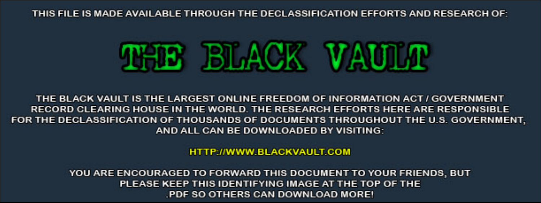THIS FILE IS MADE AVAILABLE THROUGH THE DECLASSIFICATION EFFORTS AND RESEARCH OF:



THE BLACK VAULT IS THE LARGEST ONLINE FREEDOM OF INFORMATION ACT / GOVERNMENT RECORD CLEARING HOUSE IN THE WORLD. THE RESEARCH EFFORTS HERE ARE RESPONSIBLE FOR THE DECLASSIFICATION OF THOUSANDS OF DOCUMENTS THROUGHOUT THE U.S. GOVERNMENT, AND ALL CAN BE DOWNLOADED BY VISITING:

**HTTP://WWW.BLACKVAULT.COM** 

YOU ARE ENCOURAGED TO FORWARD THIS DOCUMENT TO YOUR FRIENDS, BUT PLEASE KEEP THIS IDENTIFYING IMAGE AT THE TOP OF THE PDF SO OTHERS CAN DOWNLOAD MORE!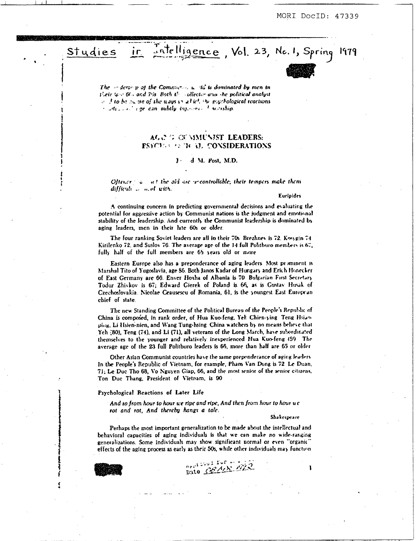

The  $\sim$  derse p of the Community  $\mu$  di is dominated by men in their to a 60s and 7%. Both the collector and the political analyst  $\vee$  I to be  $\infty$  ise of the ways  $\cup$  all icl. Surprobabilized reactions  $\pm$   $\omega d_1$ ,  $\omega$ ,  $\pm$  are can subtly the error  $\pm$  neuroship.

# AGN GUMMUNIST LEADERS: **FSYCE AS TO RECONSIDERATIONS**

#### $\mathbf{J}$ . d M. Post, M.D.

Oftener in antitive sidicite procentrollable; their tempers make them difficult ... a. of with.

#### Euripides

A continuing concern in predicting governmental decisions and evaluating the potential for aggressive action by Communist nations is the judgment and emotional stability of the leadership. And currently the Communist leadership is dominated by aging leaders, men in their late 60s or older.

The four ranking Soviet leaders are all in their 70s. Brezhnev is 72. Kovygin 74 Kirilenko 72, and Suslov 76. The average age of the 14 full Politburo members is 67, fully half of the full members are 65 years old or more

Eastern Europe also has a preponderance of aging leaders. Most prominent is Marshal Tito of Yugoslavia, age 86. Both Janos Kadar of Hungary and Erich Honecker of East Germany are 66. Enver Hoxha of Albania is 70 Bulgarian First Secretary Todar Zhivkov is 67; Edward Gierek of Poland is 66, as is Gustav Husak of Czechosłovakia. Nicolae Ceausescu of Romania, 61, is the youngest East European chief of state.

The new Standing Committee of the Political Bureau of the People's Republic of China is composed, in rank order, of Hua Kuo-feng, Yel: Chien-ying Teng Hsianping, Li Hsien-nien, and Wang Tung-hsing China watchers by no means believe that Yeh (80), Teng (74), and Li (71), all veterans of the Long March, have subordinated themselves to the younger and relatively inexperienced Hua Kuo-feng (59 The average age of the 23 full Politburo leaders is 66, more than half are 65 or older

Other Asian Communist countries have the same prependerance of aging leaders In the People's Republic of Vietnam, for example, Pham Van Dong is 72 Le Duan, 71; Le Duc Tho 68, Vo Nguyen Giap, 66, and the most senior of the senior citizens. Ton Duc Thang, President of Vietnam, is 90

#### Psychological Reactions of Later Life

And so from hour to hour we ripe and ripe, And then from hour to hour ue rot and rot, And thereby hangs a tale.

Shakespeare

Perhaps the most important generalization to be made about the intellectual and behavioral capacities of aging individuals is that we can make no wide-ranging generalizations. Some individuals may show significant normal or even "organic" effects of the aging process as early as their 50s, while other individuals may function

pate Centre m2

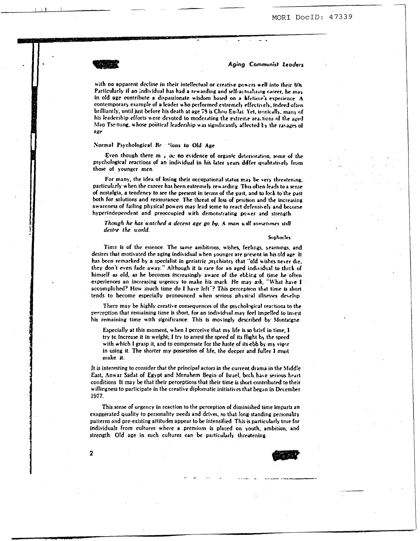with no apparent decline in their intellectual or creative powers well into their 50s Particularly if an individual has had a rewarding and self-actualizing career, he may in old age contribute a dispassionate wisdom based on a lifetime's experience. A contemporary example of a leader who performed extremely effectively, indeed often brilliantly, until just before his death at age 78 is Chou En-lai. Yet, ironically, many of his leadership efforts were devoted to moderating the extreme reactions of the aged Mao Tse-tung, whose political leadership was significantly affected by the ravages of age

# Normal Psychological Rections to Old Age

Even though there m , oc no evidence of organic deterioration, some of the psychological reactions of an individual in his later years differ qualitatively from those of younger men.

For many, the idea of losing their occupational status may be very threatening. particularly when the career has been extremely rewarding. This often leads to a sense of nostalgia, a tendency to see the present in terms of the past, and to look to the past both for solutions and reassurance. The threat of loss of position and the increasing awareness of failing physical powers may lead some to react defensively and become hyperindependent and preoccupied with demonstrating power and strength

# Though he has watched a decent age go by, A man will sometimes still desire the world.

Sophocles

Time is of the essence. The same ambitions, wishes, feelings, yearnings, and desires that motivated the aging individual when younger are present in his old age. It has been remarked by a specialist in geriatric osychiatry that "old wishes never die. they don't even fade away." Although it is rare for an aged individual to think of himself as old, as he becomes increasingly aware of the ebbing of time he often experiences an increasing urgency to make his mark. He may ask, "What have I accomplished? How much time do I have left"? This perception that time is short tends to become especially pronounced when serious physical illnesses develop

There may be highly creative consequences of the psychological reactions to the perception that remaining time is short, for an individual may feel impelled to invest his remaining time with significance. This is movingly described by Montaigne.

Especially at this moment, when I perceive that my life is so brief in time. I try to increase it in weight; I try to arrest the speed of its flight by the speed with which I grasp it, and to compensate for the haste of its ebb by my vigor in using it. The shorter my possession of life, the deeper and fuller I must make it.

It is interesting to consider that the principal actors in the current drama in the Middle East, Anwar Sadat of Egypt and Menahem Begin of Israel, both have serious heart conditions. It may be that their perceptions that their time is short contributed to their willingness to participate in the creative diplomatic initiatives that began in December 1977.

This sense of urgency in reaction to the perception of diminished time imparts an exaggerated quality to personality needs and drives, so that long-standing personality patterns and pre-existing attitudes appear to be intensified. This is particularly true for individuals from cultures where a premium is placed on youth, ambition, and strength. Old age in such cultures can be particularly threatening



 $\mathbf{2}$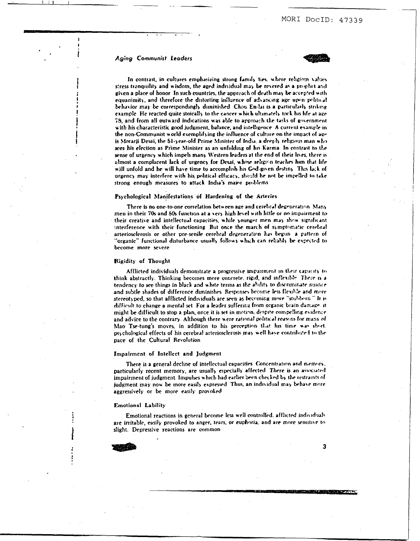

<span id="page-3-0"></span>In contrast, in cultures emphasizing strong family ties, where religious values stress tranquility and wisdom, the aged individual may be revered as a prophet and given a place of honor. In such countries, the appreach of death may be accepted with equanimity, and therefore the distorting influence of advancing age upon political behavior may be correspondingly diminished. Chou En-lai is a particularly striking example. He reacted quite stoically to the cancer which ultimately took his life at age 75, and from all outward indications was able to approach the tasks of government with his characteristic good judgment, balance, and intelligence. A current example in the non-Communist world exemplifying the influence of culture on the impact of age is Morarii Desai, the 51-year-old Prime Minister of India, a deeply religious man who sees his election as Prime Minister as an unfolding of his Karma. In contrast to the sense of urgency which impels many Western leaders at the end of their lives, there is almost a complacent lack of urgency for Desai, whose religion teaches him that life will unfold and he will have time to accomplish his God-given destiny. This lack of urgency may interfere with his political efficacy, should he not be impelled to take strong enough measures to attack India's major problems

#### Psychological Manifestations of Hardening of the Arteries

There is no one-to-one correlation between age and cerebral degeneration. Many men in their 70s and 50s function at a very high level with little or no impairment to their creative and intellectual capacities, while younger men may show significant interference with their functioning. But once the march of symptomatic cerebral arteriosclerosis or other pre-senile cerebral degeneration has begun a pattern of "organic" functional disturbance usually follows which can reliably be expected to become more severe

#### Rigidity of Thought

Afflicted individuals demonstrate a progressive impairment in their capacity to think abstractly. Thinking becomes more concrete, rigid, and inflexible. There is a tendency to see things in black and white terms as the ability to discriminate nuance and subtle shades of difference diminishes. Responses become less flexible and more stereotyped, so that afflicted individuals are seen as becoming more "stubborn." It is difficult to change a mental set. For a leader suffering from organic brain damage, it might be difficult to stop a plan, once it is set in motion, despite compelling evidence and advice to the contrary. Although there were rational political reasons for many of Mao Tse-tung's moves, in addition to his perception that his time was short. psychological effects of his cerebral arteriosclerosis may well have contributed to the pace of the Cultural Revolution

### Impairment of Intellect and Judgment

There is a general decline of intellectual capacities. Concentration and memory, particularly recent memory, are usually especially affected. There is an associated impairment of judgment. Impulses which had earlier been checked by the restraints of judgment may now be more easily expressed. Thus, an individual may behave more aggressively or be more easily provoked

#### **Emotional Lability**

Emotional reactions in general become less well controlled, afflicted individuals are irritable, easily provoked to anger, tears, or euphoria, and are more sensitive to slight. Depressive reactions are common



 $\overline{\mathbf{3}}$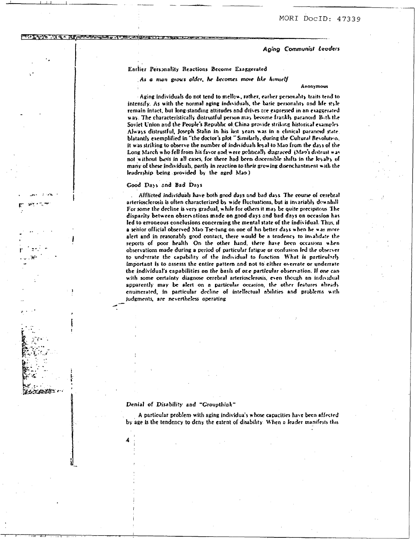# Earlier Personality Reactions Become Exaggerated

As a man grows older, he becomes more like himself

#### Anonymous

Aging individuals do not tend to mellow, rather, earlier personality traits tend to intensify. As with the normal aging individuals, the basic personality and life style remain intact, but long-standing attitudes and drives are expressed in an exaggerated way. The characteristically distrustful person may become frankly paranoid. Bath the Soviet Union and the People's Republic of China provide striking historical examples Always distrustful, Joseph Stalin in his last years was in a clinical paranoid state. blatantly exemplified in "the doctor's plot " Similarly, during the Cultural Revolution, it was striking to observe the number of individuals kyal to Mao from the days of the Long March who fell from his favor and were politically disgraced (Mao's distrust was not without basis in all cases, for there had been discernible shifts in the loyalty of many of these individuals, partly in reaction to their growing disenchantment with the leadership being provided by the aged Mao)

# Good Days and Bad Days

**A CONTROLLED CONTROLLED BY A ROUTE** 

Afflicted individuals have both good days and bad days. The course of cerebral arteriosclerosis is often characterized by wide fluctuations, but is invariably downhill For some the decline is very gradual, while for others it may be quite precipitous. The disparity between observations made on good days and bad days on occasion has led to erroneous conclusions concerning the mental state of the individual. Thus, if a senior official observed Mao Tse-tung on one of his better days when he was more alert and in reasonably good contact, there would be a tendency to invalidate the reports of poor health. On the other hand, there have been occasions when observations made during a period of particular fatigue or confusion led the observer to underrate the capability of the individual to function. What is particularly important is to assesss the entire pattern and not to either overrate or underrate the individual's capabilities on the basis of one particular observation. If one can with some certainty diagnose cerebral arteriosclerosis, even though an individual apparently may be alert on a particular occasion, the other features already enumerated, in particular decline of intellectual abilities and problems with judgments, are nevertheless operating

### Denial of Disability and "Groupthink"

A particular problem with aging individuals whose capacities have been affected by age is the tendency to deny the extent of disability. When a leader manifests this

 $-22.182...$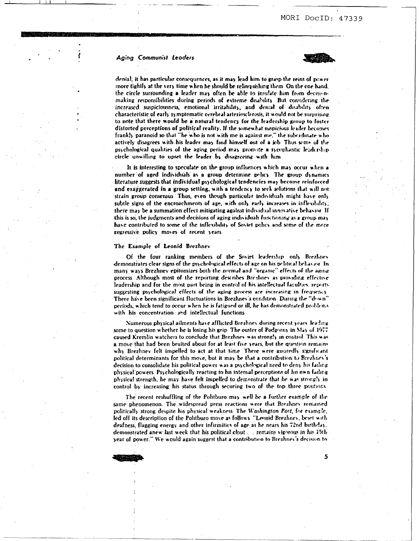

5

denial, it has particular consequences, as it may lead him to grasp the reins of power more tightly at the very time when he should be relinquishing them. On the one hand, the circle surrounding a leader may often be able to insulate him from decisionmaking responsibilities during periods of extreme disability. But considering the increased suspiciousness, emotional irritability, and denial of disability often characteristic of early symptomatic cerebral arteriosclerosis, it would not be surprising to note that there would be a natural tendency for the leadership group to foster distorted perceptions of political reality. If the somewhat suspicious leader becomes frankly paranoid so that "he who is not with me is against me," the subvidinate who actively disagrees with his leader may find himself out of a job. Thus seme of the psychological qualities of the aging period may promote a sycophantic leadership circle unwilling to upset the leader by disagreeing with him

It is interesting to speculate on the group influences which may occur when a number of aged individuals as a group determine policy. The group dynamics literature suggests that individual psychological tendencies may become reinforced and exaggerated in a group setting, with a tendency to seek solutions that will not strain group consensus. Thus, even though particular individuals might have only subtle signs of the encroachments of age, with only early increases in inflexibility, there may be a summation effect mitigating against individual innovative behavior. If this is so, the judgments and decisions of aging individuals functioning as a group may have contributed to some of the inflexibility of Soviet policy and some of the more regressive policy moves of recent years

#### The Example of Leonid Brezhnev

Of the four ranking members of the Soviet leadership only Brezhnev demonstrates clear signs of the psychological effects of age on his political behavior. In many ways Brezhnev epitomizes both the normal and "organic" effects of the aging process. Although most of the reporting describes Breahney as providing effective leadership and for the most part being in control of his intellectual faculties, reports suggesting psychological effects of the aging process are increasing in frequency There have been significant fluctuations in Brezhnev's condition. During the "down" periods, which tend to occur when he is fatigued or ill, he has demonstrated problems with his concentration and intellectual functions

Numerous physical ailments have afflicted Brezhnev during recent years leading some to question whether he is losing his grip. The ouster of Podgorny in May of 1977 caused Kremlin watchers to conclude that Brezhnev was strongly in control. This was a move that had been bruited about for at least five years, but the question remains why Brezhnev felt impelled to act at that time. There were assuredly significant political determinants for this move, but it may be that a contribution to Brezhnev's decision to consolidate his political power was a psychological need to deny his failing physical powers. Psychologically reacting to his internal perceptions of his own failing physical strength, he may have felt impelled to demonstrate that he was strongly in control by increasing his status through securing two of the top three positions

The recent reshuffling of the Politburo may well be a further example of the same phenomenon. The widespread press reactions were that Brezhnev remained politically strong despite his physical weakness. The Washington Post, for example, led off its description of the Politburo move as follows. "Leonid Brezhnev, beset with deafness, flagging energy and other infirmities of age as he nears his 72nd birthday. demonstrated anew last week that his political clout. The remains vigorous in his 15th year of power." We would again suggest that a contribution to Brezhnev's decision to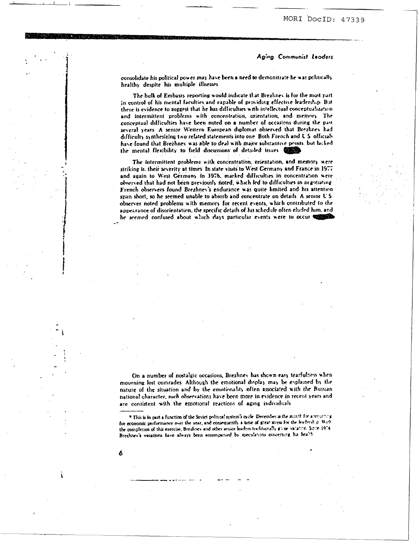consolidate his political power may have been a need to demonstrate he was politically healthy despite his multiple illnesses

The bulk of Embassy reporting would indicate that Brezhnev is for the most part in control of his mental faculties and capable of providing effective leadership. But there is evidence to suggest that he has difficulties with intellectual conceptualization and intermittent problems with concentration, orientation, and memory. The conceptual difficulties have been noted on a number of occasions during the past several years. A senior Western European diplomat observed that Brezhnev had difficulty synthesizing two related statements into one Both French and U.S. officials have found that Brezhnev was able to deal with major substantive points, but facked the mental flexibility to field discussions of detailed issues

The intermittent problems with concentration, orientation, and memory were striking in their severity at times. In state visits to West Germany and France in 1977 and again to West Germany in 1976, marked difficulties in concentration were observed that had not been previously noted, which led to difficulties in negotiating French observers found Brezhney's endurance was quite limited and his attention span short, so he seemed unable to absorb and concentrate on details. A semor U.S. observer noted problems with memory for recent events, which contributed to the appearance of disorientation, the specific details of his schedule often eluded him, and he seemed confused about which days particular events were to occur was

On a number of nostalgic occasions, Brezhnev has shown easy tearfulness when mourning lost comrades. Although the emotional display may be explained by the nature of the situation and by the emotionality often associated with the Bussian national character, such observations have been more in evidence in recent years and are consistent with the emotional reactions of aging individuals

\* This is in part a function of the Soviet political system's cycle. December is the menth for accounting for economic performance over the year, and consequently a time of great stress for the leadership. With the completion of this exercise, Breahnes and other senior leaders traditionally go or satisfier. Since 1974. Brezhnev's vacations have always been accompanied by meculations concerning his health

6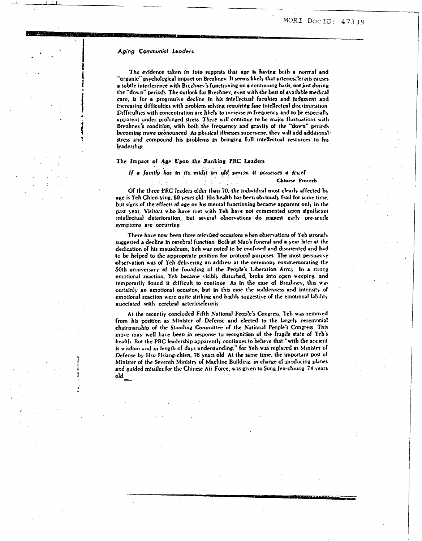The evidence taken in toto suggests that age is having both a normal and "organic" psychological impact on Brezhnev. It seems likely that arteriosclerosis causes a subtle interference with Brezhnev's functioning on a continuing basis, not just during the "down" periods. The outlook for Brezhnev, even with the best of available medical care, is for a progressive decline in his intellectual faculties and judgment and Increasing difficulties with problem solving requiring fine intellectual discrimination Difficulties with concentration are likely to increase in frequency and to be especially apparent under prolonged stress. There will continue to be major fluctuations with Brezhnev's condition, with both the frequency and gravity of the "down" periods becoming more pronounced. As physical illnesses supervene, they will add additional stress and compound his problems in bringing full intellectual resources to his leadership

# The Impact of Age Upon the Ranking PRC Leaders

# If a family has in its midst an ald person it possesses a jewel Chinese Proverb

Of the three PRC leaders older than 70, the individual most clearly affected by age is Yeh Chien-ying, 80 years old. His health has been obviously frail for some time, but signs of the effects of age on his mental functioning became apparent only in the past year. Visitors who have met with Yeh have not commented upon significant intellectual deterioration, but several observations do suggest early pre-senile symptoms are occurring

There have now been three televised occasions when observations of Yeh strongly suggested a decline in cerebral function. Both at Mao's funeral and a year later at the dedication of his mausoleum, Yeh was noted to be confused and disoriented and had to be helped to the appropriate position for protocol purposes. The most persuasive observation was of Yeh delivering an address at the ceremony commemorating the 50th anniversary of the founding of the People's Liberation Army In a strong emotional reaction, Yeh became visibly disturbed, broke into open weeping and temporarily found it difficult to continue. As in the case of Brezhnev, this was certainly an emotional occasion, but in this case the suddenness and intensity of emotional reaction were quite striking and highly suggestive of the emotional lability associated with cerebral arteriosclerosis

At the recently concluded Fifth National People's Congress, Yeh was removed from his position as Minister of Defense and elected to the largely ceremonial chairmanship of the Standing Committee of the National People's Congress This move may well have been in response to recognition of the fragile state of Yeh's health. But the PRC leadership apparently continues to believe that "with the ancient is wisdom and in length of days understanding." for Yeh was replaced as Minister of Defense by Hsu Hsiang-chien, 76 years old. At the same time, the important post of Minister of the Seventh Ministry of Machine Building, in charge of producing planes and guided missiles for the Chinese Air Force, was given to Sung Jen-chiung. 74 years  $old_{\perp}$